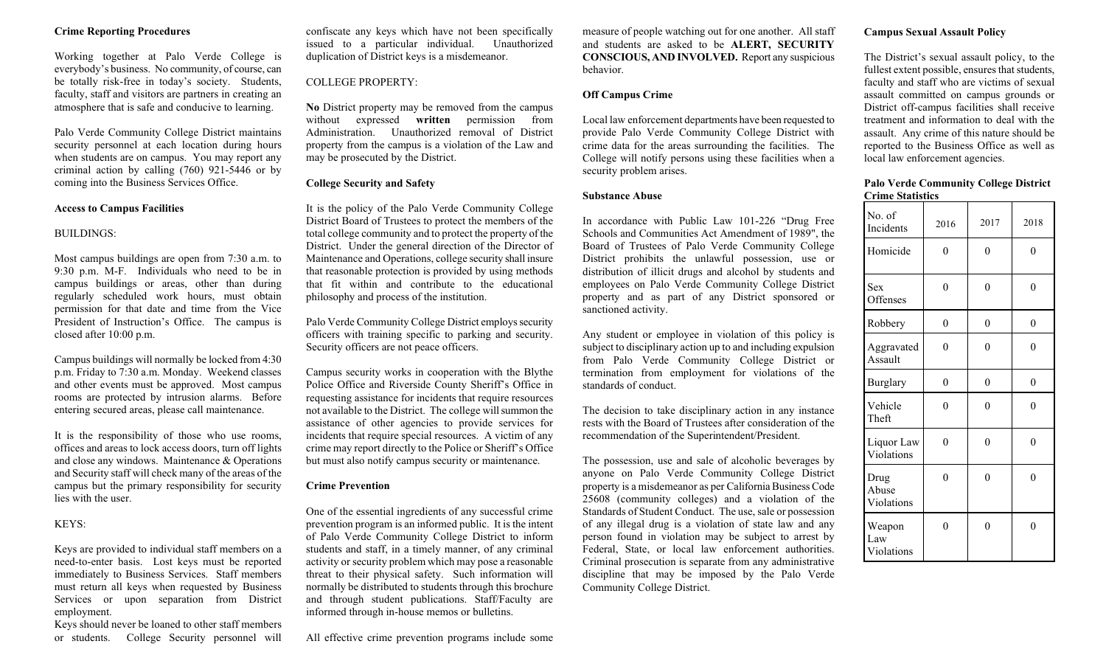#### **Crime Reporting Procedures**

Working together at Palo Verde College is everybody's business. No community, of course, can be totally risk-free in today's society. Students, faculty, staff and visitors are partners in creating an atmosphere that is safe and conducive to learning.

Palo Verde Community College District maintains security personnel at each location during hours when students are on campus. You may report any criminal action by calling (760) 921-5446 or by coming into the Business Services Office.

#### **Access to Campus Facilities**

#### BUILDINGS:

Most campus buildings are open from 7:30 a.m. to 9:30 p.m. M-F. Individuals who need to be in campus buildings or areas, other than during regularly scheduled work hours, must obtain permission for that date and time from the Vice President of Instruction's Office. The campus is closed after 10:00 p.m.

Campus buildings will normally be locked from 4:30 p.m. Friday to 7:30 a.m. Monday. Weekend classes and other events must be approved. Most campus rooms are protected by intrusion alarms. Before entering secured areas, please call maintenance.

It is the responsibility of those who use rooms, offices and areas to lock access doors, turn off lights and close any windows. Maintenance & Operations and Security staff will check many of the areas of the campus but the primary responsibility for security lies with the user.

#### KEYS:

Keys are provided to individual staff members on a need-to-enter basis. Lost keys must be reported immediately to Business Services. Staff members must return all keys when requested by Business Services or upon separation from District employment.

Keys should never be loaned to other staff members or students. College Security personnel will confiscate any keys which have not been specifically issued to a particular individual. Unauthorized duplication of District keys is a misdemeanor.

#### COLLEGE PROPERTY:

**No** District property may be removed from the campus without expressed **written** permission from Administration. Unauthorized removal of District property from the campus is a violation of the Law and may be prosecuted by the District.

#### **College Security and Safety**

It is the policy of the Palo Verde Community College District Board of Trustees to protect the members of the total college community and to protect the property of the District. Under the general direction of the Director of Maintenance and Operations, college security shall insure that reasonable protection is provided by using methods that fit within and contribute to the educational philosophy and process of the institution.

Palo Verde Community College District employs security officers with training specific to parking and security. Security officers are not peace officers.

Campus security works in cooperation with the Blythe Police Office and Riverside County Sheriff's Office in requesting assistance for incidents that require resources not available to the District. The college will summon the assistance of other agencies to provide services for incidents that require special resources. A victim of any crime may report directly to the Police or Sheriff's Office but must also notify campus security or maintenance.

#### **Crime Prevention**

One of the essential ingredients of any successful crime prevention program is an informed public. It is the intent of Palo Verde Community College District to inform students and staff, in a timely manner, of any criminal activity or security problem which may pose a reasonable threat to their physical safety. Such information will normally be distributed to students through this brochure and through student publications. Staff/Faculty are informed through in-house memos or bulletins.

All effective crime prevention programs include some

measure of people watching out for one another. All staff and students are asked to be **ALERT, SECURITY CONSCIOUS, AND INVOLVED.** Report any suspicious behavior.

#### **Off Campus Crime**

Local law enforcement departments have been requested to provide Palo Verde Community College District with crime data for the areas surrounding the facilities. The College will notify persons using these facilities when a security problem arises.

#### **Substance Abuse**

In accordance with Public Law 101-226 "Drug Free Schools and Communities Act Amendment of 1989", the Board of Trustees of Palo Verde Community College District prohibits the unlawful possession, use or distribution of illicit drugs and alcohol by students and employees on Palo Verde Community College District property and as part of any District sponsored or sanctioned activity.

Any student or employee in violation of this policy is subject to disciplinary action up to and including expulsion from Palo Verde Community College District or termination from employment for violations of the standards of conduct.

The decision to take disciplinary action in any instance rests with the Board of Trustees after consideration of the recommendation of the Superintendent/President.

The possession, use and sale of alcoholic beverages by anyone on Palo Verde Community College District property is a misdemeanor as per California Business Code 25608 (community colleges) and a violation of the Standards of Student Conduct. The use, sale or possession of any illegal drug is a violation of state law and any person found in violation may be subject to arrest by Federal, State, or local law enforcement authorities. Criminal prosecution is separate from any administrative discipline that may be imposed by the Palo Verde Community College District.

#### **Campus Sexual Assault Policy**

The District's sexual assault policy, to the fullest extent possible, ensures that students, faculty and staff who are victims of sexual assault committed on campus grounds or District off-campus facilities shall receive treatment and information to deal with the assault. Any crime of this nature should be reported to the Business Office as well as local law enforcement agencies.

#### **Palo Verde Community College District Crime Statistics**

| No. of<br>Incidents         | 2016           | 2017     | 2018     |
|-----------------------------|----------------|----------|----------|
| Homicide                    | $\Omega$       | 0        | $\theta$ |
| <b>Sex</b><br>Offenses      | 0              | 0        | $\theta$ |
| Robbery                     | $\theta$       | $\theta$ | $\theta$ |
| Aggravated<br>Assault       | 0              | 0        | $\theta$ |
| <b>Burglary</b>             | $\overline{0}$ | $\theta$ | $\theta$ |
| Vehicle<br>Theft            | 0              | 0        | $\Omega$ |
| Liquor Law<br>Violations    | 0              | 0        | $\theta$ |
| Drug<br>Abuse<br>Violations | 0              | 0        | $\Omega$ |
| Weapon<br>Law<br>Violations | 0              | $\Omega$ | $\Omega$ |